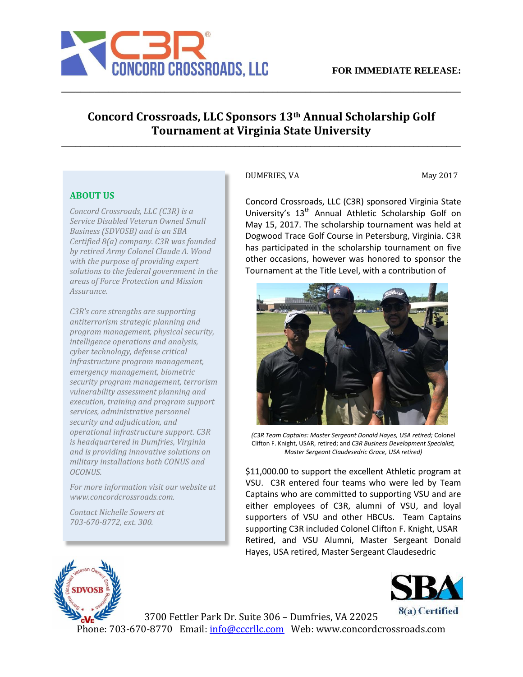

## **Concord Crossroads, LLC Sponsors 13th Annual Scholarship Golf Tournament at Virginia State University**

**\_\_\_\_\_\_\_\_\_\_\_\_\_\_\_\_\_\_\_\_\_\_\_\_\_\_\_\_\_\_\_\_\_\_\_\_\_\_\_\_\_\_\_\_\_\_\_\_\_\_\_\_\_\_\_\_\_\_\_\_\_\_\_\_\_\_\_\_\_\_\_\_\_\_\_\_\_\_\_\_\_\_\_\_\_**

**\_\_\_\_\_\_\_\_\_\_\_\_\_\_\_\_\_\_\_\_\_\_\_\_\_\_\_\_\_\_\_\_\_\_\_\_\_\_\_\_\_\_\_\_\_\_\_\_\_\_\_\_\_\_\_\_\_\_\_\_\_\_\_\_\_\_\_\_\_\_\_\_\_\_\_\_\_\_\_\_\_\_\_\_\_**

## **ABOUT US**

*Concord Crossroads, LLC (C3R) is a Service Disabled Veteran Owned Small Business (SDVOSB) and is an SBA Certified 8(a) company. C3R was founded by retired Army Colonel Claude A. Wood with the purpose of providing expert solutions to the federal government in the areas of Force Protection and Mission Assurance.* 

*C3R's core strengths are supporting antiterrorism strategic planning and program management, physical security, intelligence operations and analysis, cyber technology, defense critical infrastructure program management, emergency management, biometric security program management, terrorism vulnerability assessment planning and execution, training and program support services, administrative personnel security and adjudication, and operational infrastructure support. C3R is headquartered in Dumfries, Virginia and is providing innovative solutions on military installations both CONUS and OCONUS.* 

*For more information visit our website at www.concordcrossroads.com.* 

*Contact Nichelle Sowers at 703-670-8772, ext. 300.*

## DUMFRIES, VA May 2017

Concord Crossroads, LLC (C3R) sponsored Virginia State University's 13<sup>th</sup> Annual Athletic Scholarship Golf on May 15, 2017. The scholarship tournament was held at Dogwood Trace Golf Course in Petersburg, Virginia. C3R has participated in the scholarship tournament on five other occasions, however was honored to sponsor the Tournament at the Title Level, with a contribution of



*(C3R Team Captains: Master Sergeant Donald Hayes, USA retired;* Colonel Clifton F. Knight, USAR, retired; and *C3R Business Development Specialist, Master Sergeant Claudesedric Grace, USA retired)*

\$11,000.00 to support the excellent Athletic program at VSU. C3R entered four teams who were led by Team Captains who are committed to supporting VSU and are either employees of C3R, alumni of VSU, and loyal supporters of VSU and other HBCUs. Team Captains supporting C3R included Colonel Clifton F. Knight, USAR Retired, and VSU Alumni, Master Sergeant Donald Hayes, USA retired, Master Sergeant Claudesedric





3700 Fettler Park Dr. Suite 306 – Dumfries, VA 22025 Phone: 703-670-8770 Email: info@cccrllc.com Web: www.concordcrossroads.com